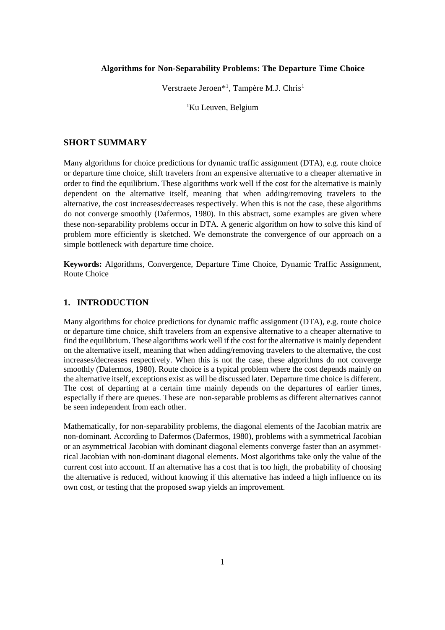#### **Algorithms for Non-Separability Problems: The Departure Time Choice**

Verstraete Jeroen<sup>\*1</sup>, Tampère M.J. Chris<sup>1</sup>

<sup>1</sup>Ku Leuven, Belgium

#### **SHORT SUMMARY**

Many algorithms for choice predictions for dynamic traffic assignment (DTA), e.g. route choice or departure time choice, shift travelers from an expensive alternative to a cheaper alternative in order to find the equilibrium. These algorithms work well if the cost for the alternative is mainly dependent on the alternative itself, meaning that when adding/removing travelers to the alternative, the cost increases/decreases respectively. When this is not the case, these algorithms do not converge smoothly (Dafermos, 1980). In this abstract, some examples are given where these non-separability problems occur in DTA. A generic algorithm on how to solve this kind of problem more efficiently is sketched. We demonstrate the convergence of our approach on a simple bottleneck with departure time choice.

**Keywords:** Algorithms, Convergence, Departure Time Choice, Dynamic Traffic Assignment, Route Choice

### **1. INTRODUCTION**

Many algorithms for choice predictions for dynamic traffic assignment (DTA), e.g. route choice or departure time choice, shift travelers from an expensive alternative to a cheaper alternative to find the equilibrium. These algorithms work well if the cost for the alternative is mainly dependent on the alternative itself, meaning that when adding/removing travelers to the alternative, the cost increases/decreases respectively. When this is not the case, these algorithms do not converge smoothly (Dafermos, 1980). Route choice is a typical problem where the cost depends mainly on the alternative itself, exceptions exist as will be discussed later. Departure time choice is different. The cost of departing at a certain time mainly depends on the departures of earlier times, especially if there are queues. These are non-separable problems as different alternatives cannot be seen independent from each other.

Mathematically, for non-separability problems, the diagonal elements of the Jacobian matrix are non-dominant. According to Dafermos (Dafermos, 1980), problems with a symmetrical Jacobian or an asymmetrical Jacobian with dominant diagonal elements converge faster than an asymmetrical Jacobian with non-dominant diagonal elements. Most algorithms take only the value of the current cost into account. If an alternative has a cost that is too high, the probability of choosing the alternative is reduced, without knowing if this alternative has indeed a high influence on its own cost, or testing that the proposed swap yields an improvement.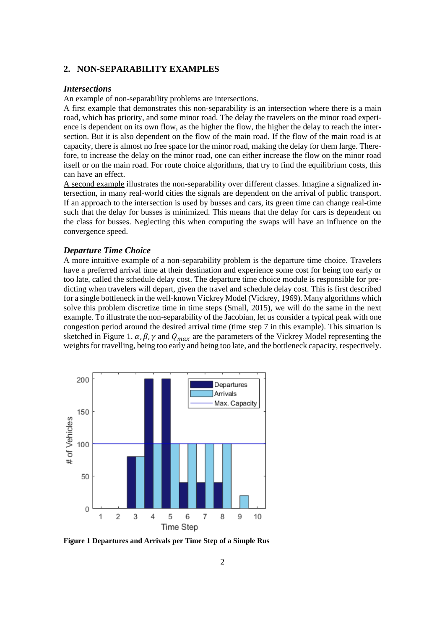# **2. NON-SEPARABILITY EXAMPLES**

#### *Intersections*

An example of non-separability problems are intersections.

A first example that demonstrates this non-separability is an intersection where there is a main road, which has priority, and some minor road. The delay the travelers on the minor road experience is dependent on its own flow, as the higher the flow, the higher the delay to reach the intersection. But it is also dependent on the flow of the main road. If the flow of the main road is at capacity, there is almost no free space for the minor road, making the delay for them large. Therefore, to increase the delay on the minor road, one can either increase the flow on the minor road itself or on the main road. For route choice algorithms, that try to find the equilibrium costs, this can have an effect.

A second example illustrates the non-separability over different classes. Imagine a signalized intersection, in many real-world cities the signals are dependent on the arrival of public transport. If an approach to the intersection is used by busses and cars, its green time can change real-time such that the delay for busses is minimized. This means that the delay for cars is dependent on the class for busses. Neglecting this when computing the swaps will have an influence on the convergence speed.

#### *Departure Time Choice*

A more intuitive example of a non-separability problem is the departure time choice. Travelers have a preferred arrival time at their destination and experience some cost for being too early or too late, called the schedule delay cost. The departure time choice module is responsible for predicting when travelers will depart, given the travel and schedule delay cost. This is first described for a single bottleneck in the well-known Vickrey Model (Vickrey, 1969). Many algorithms which solve this problem discretize time in time steps (Small, 2015), we will do the same in the next example. To illustrate the non-separability of the Jacobian, let us consider a typical peak with one congestion period around the desired arrival time (time step 7 in this example). This situation is sketched in Figure 1.  $\alpha$ ,  $\beta$ ,  $\gamma$  and  $Q_{max}$  are the parameters of the Vickrey Model representing the weights for travelling, being too early and being too late, and the bottleneck capacity, respectively.



**Figure 1 Departures and Arrivals per Time Step of a Simple Rus**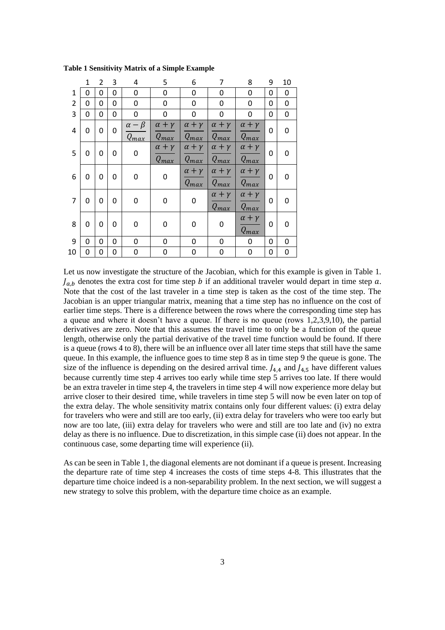|                | $\mathbf{1}$ | $\overline{2}$ | 3 | 4                             | 5                              | 6                              | 7                              | 8                              | 9 | 10        |
|----------------|--------------|----------------|---|-------------------------------|--------------------------------|--------------------------------|--------------------------------|--------------------------------|---|-----------|
| 1              | 0            | 0              | 0 | 0                             | 0                              | 0                              | 0                              | 0                              | 0 | 0         |
| $\overline{2}$ | 0            | 0              | 0 | 0                             | 0                              | 0                              | 0                              | 0                              | 0 | 0         |
| 3              | 0            | 0              | 0 | 0                             | 0                              | 0                              | 0                              | 0                              | 0 | $\pmb{0}$ |
| 4              | 0            | 0              | 0 | $\alpha - \beta$<br>$Q_{max}$ | $\alpha + \gamma$<br>$Q_{max}$ | $\alpha + \gamma$<br>$Q_{max}$ | $\alpha + \gamma$<br>$Q_{max}$ | $\alpha + \gamma$<br>$Q_{max}$ | 0 | 0         |
| 5              | 0            | 0              | 0 | 0                             | $\alpha + \gamma$<br>$Q_{max}$ | $\alpha + \gamma$<br>$Q_{max}$ | $\alpha + \gamma$<br>$Q_{max}$ | $\alpha + \gamma$<br>$Q_{max}$ | 0 | 0         |
| 6              | 0            | 0              | 0 | 0                             | 0                              | $\alpha + \gamma$<br>$Q_{max}$ | $\alpha + \gamma$<br>$Q_{max}$ | $\alpha + \gamma$<br>$Q_{max}$ | 0 | 0         |
| $\overline{7}$ | 0            | 0              | 0 | 0                             | 0                              | 0                              | $\alpha + \gamma$<br>$Q_{max}$ | $\alpha + \gamma$<br>$Q_{max}$ | 0 | 0         |
| 8              | 0            | 0              | 0 | 0                             | 0                              | 0                              | 0                              | $\alpha + \gamma$<br>$Q_{max}$ | 0 | 0         |
| 9              | 0            | 0              | 0 | 0                             | 0                              | 0                              | 0                              | 0                              | 0 | 0         |
| 10             | 0            | 0              | 0 | 0                             | 0                              | 0                              | 0                              | 0                              | 0 | 0         |

**Table 1 Sensitivity Matrix of a Simple Example**

Let us now investigate the structure of the Jacobian, which for this example is given in Table 1.  $J_{a,b}$  denotes the extra cost for time step *b* if an additional traveler would depart in time step *a*. Note that the cost of the last traveler in a time step is taken as the cost of the time step. The Jacobian is an upper triangular matrix, meaning that a time step has no influence on the cost of earlier time steps. There is a difference between the rows where the corresponding time step has a queue and where it doesn't have a queue. If there is no queue (rows 1,2,3,9,10), the partial derivatives are zero. Note that this assumes the travel time to only be a function of the queue length, otherwise only the partial derivative of the travel time function would be found. If there is a queue (rows 4 to 8), there will be an influence over all later time steps that still have the same queue. In this example, the influence goes to time step 8 as in time step 9 the queue is gone. The size of the influence is depending on the desired arrival time.  $J_{4,4}$  and  $J_{4,5}$  have different values because currently time step 4 arrives too early while time step 5 arrives too late. If there would be an extra traveler in time step 4, the travelers in time step 4 will now experience more delay but arrive closer to their desired time, while travelers in time step 5 will now be even later on top of the extra delay. The whole sensitivity matrix contains only four different values: (i) extra delay for travelers who were and still are too early, (ii) extra delay for travelers who were too early but now are too late, (iii) extra delay for travelers who were and still are too late and (iv) no extra delay as there is no influence. Due to discretization, in this simple case (ii) does not appear. In the continuous case, some departing time will experience (ii).

As can be seen in Table 1, the diagonal elements are not dominant if a queue is present. Increasing the departure rate of time step 4 increases the costs of time steps 4-8. This illustrates that the departure time choice indeed is a non-separability problem. In the next section, we will suggest a new strategy to solve this problem, with the departure time choice as an example.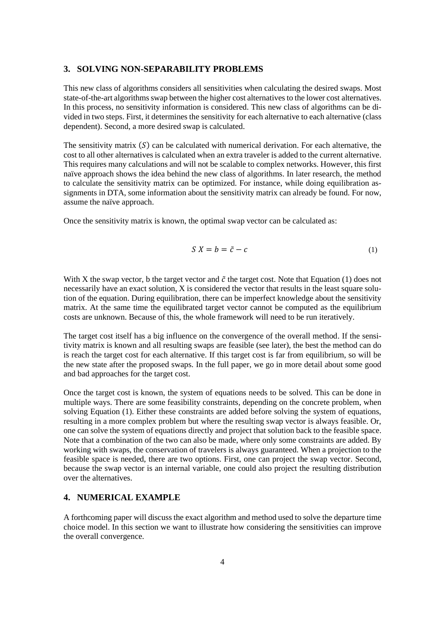#### **3. SOLVING NON-SEPARABILITY PROBLEMS**

This new class of algorithms considers all sensitivities when calculating the desired swaps. Most state-of-the-art algorithms swap between the higher cost alternatives to the lower cost alternatives. In this process, no sensitivity information is considered. This new class of algorithms can be divided in two steps. First, it determines the sensitivity for each alternative to each alternative (class dependent). Second, a more desired swap is calculated.

The sensitivity matrix  $(S)$  can be calculated with numerical derivation. For each alternative, the cost to all other alternatives is calculated when an extra traveler is added to the current alternative. This requires many calculations and will not be scalable to complex networks. However, this first naïve approach shows the idea behind the new class of algorithms. In later research, the method to calculate the sensitivity matrix can be optimized. For instance, while doing equilibration assignments in DTA, some information about the sensitivity matrix can already be found. For now, assume the naïve approach.

Once the sensitivity matrix is known, the optimal swap vector can be calculated as:

$$
S X = b = \tilde{c} - c \tag{1}
$$

With X the swap vector, b the target vector and  $\tilde{c}$  the target cost. Note that Equation (1) does not necessarily have an exact solution, X is considered the vector that results in the least square solution of the equation. During equilibration, there can be imperfect knowledge about the sensitivity matrix. At the same time the equilibrated target vector cannot be computed as the equilibrium costs are unknown. Because of this, the whole framework will need to be run iteratively.

The target cost itself has a big influence on the convergence of the overall method. If the sensitivity matrix is known and all resulting swaps are feasible (see later), the best the method can do is reach the target cost for each alternative. If this target cost is far from equilibrium, so will be the new state after the proposed swaps. In the full paper, we go in more detail about some good and bad approaches for the target cost.

Once the target cost is known, the system of equations needs to be solved. This can be done in multiple ways. There are some feasibility constraints, depending on the concrete problem, when solving Equation (1). Either these constraints are added before solving the system of equations, resulting in a more complex problem but where the resulting swap vector is always feasible. Or, one can solve the system of equations directly and project that solution back to the feasible space. Note that a combination of the two can also be made, where only some constraints are added. By working with swaps, the conservation of travelers is always guaranteed. When a projection to the feasible space is needed, there are two options. First, one can project the swap vector. Second, because the swap vector is an internal variable, one could also project the resulting distribution over the alternatives.

# **4. NUMERICAL EXAMPLE**

A forthcoming paper will discuss the exact algorithm and method used to solve the departure time choice model. In this section we want to illustrate how considering the sensitivities can improve the overall convergence.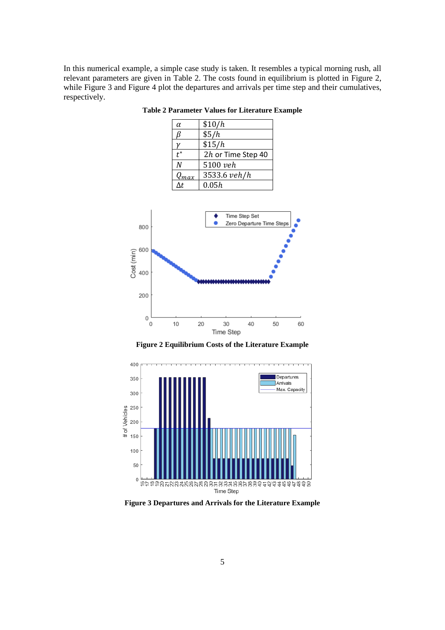<span id="page-4-0"></span>In this numerical example, a simple case study is taken. It resembles a typical morning rush, all relevant parameters are given in [Table 2.](#page-4-0) The costs found in equilibrium is plotted in [Figure 2,](#page-4-1) while [Figure 3](#page-4-2) and [Figure 4](#page-5-0) plot the departures and arrivals per time step and their cumulatives, respectively.

**Table 2 Parameter Values for Literature Example**

| α         | \$10/h             |
|-----------|--------------------|
|           | \$5/h              |
|           | \$15/h             |
|           | 2h or Time Step 40 |
| N         | 5100 veh           |
| $Q_{max}$ | 3533.6 veh/h       |
|           | 0.05h              |



**Figure 2 Equilibrium Costs of the Literature Example**

<span id="page-4-1"></span>

<span id="page-4-2"></span>**Figure 3 Departures and Arrivals for the Literature Example**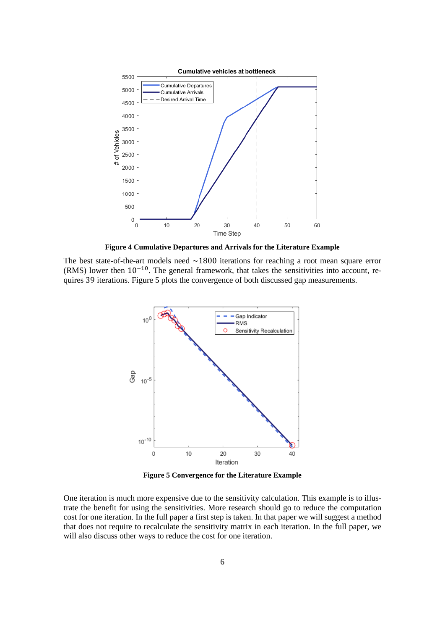

**Figure 4 Cumulative Departures and Arrivals for the Literature Example**

<span id="page-5-0"></span>The best state-of-the-art models need  $\sim$ 1800 iterations for reaching a root mean square error (RMS) lower then  $10^{-10}$ . The general framework, that takes the sensitivities into account, requires 39 iterations. [Figure 5](#page-5-1) plots the convergence of both discussed gap measurements.



**Figure 5 Convergence for the Literature Example**

<span id="page-5-1"></span>One iteration is much more expensive due to the sensitivity calculation. This example is to illustrate the benefit for using the sensitivities. More research should go to reduce the computation cost for one iteration. In the full paper a first step is taken. In that paper we will suggest a method that does not require to recalculate the sensitivity matrix in each iteration. In the full paper, we will also discuss other ways to reduce the cost for one iteration.